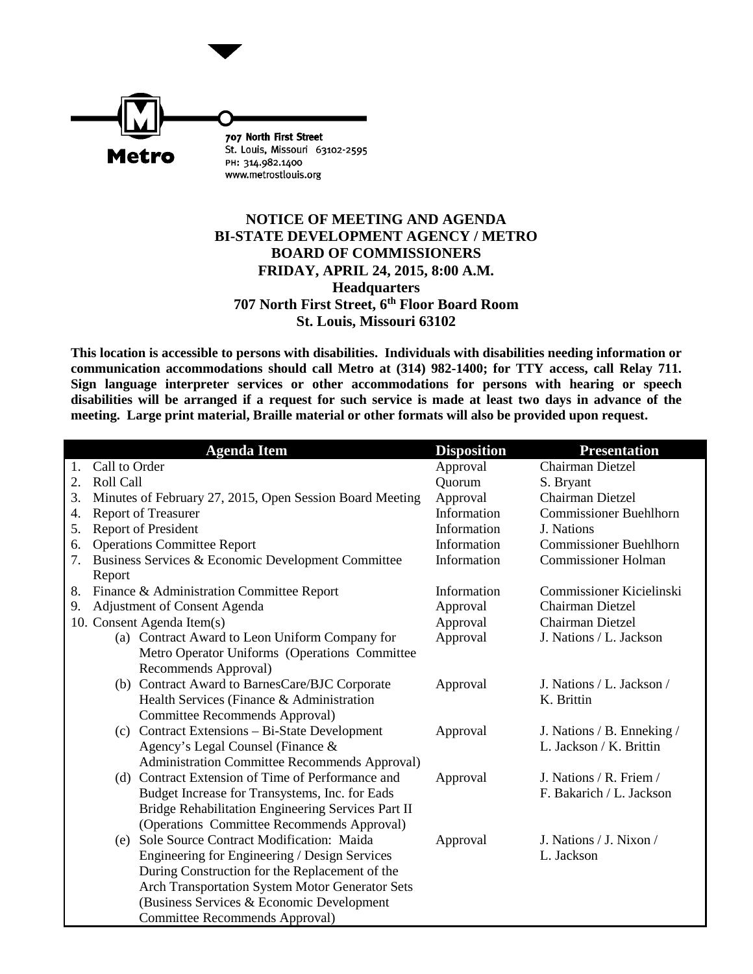

## **NOTICE OF MEETING AND AGENDA BI-STATE DEVELOPMENT AGENCY / METRO BOARD OF COMMISSIONERS FRIDAY, APRIL 24, 2015, 8:00 A.M. Headquarters 707 North First Street, 6th Floor Board Room St. Louis, Missouri 63102**

**This location is accessible to persons with disabilities. Individuals with disabilities needing information or communication accommodations should call Metro at (314) 982-1400; for TTY access, call Relay 711. Sign language interpreter services or other accommodations for persons with hearing or speech disabilities will be arranged if a request for such service is made at least two days in advance of the meeting. Large print material, Braille material or other formats will also be provided upon request.**

|    | <b>Agenda Item</b>                                                    | <b>Disposition</b> | <b>Presentation</b>           |
|----|-----------------------------------------------------------------------|--------------------|-------------------------------|
| 1. | Call to Order                                                         | Approval           | <b>Chairman Dietzel</b>       |
| 2. | Roll Call                                                             | Quorum             | S. Bryant                     |
| 3. | Minutes of February 27, 2015, Open Session Board Meeting              | Approval           | Chairman Dietzel              |
| 4. | <b>Report of Treasurer</b>                                            | Information        | <b>Commissioner Buehlhorn</b> |
| 5. | Report of President                                                   | Information        | J. Nations                    |
| 6. | <b>Operations Committee Report</b>                                    | Information        | <b>Commissioner Buehlhorn</b> |
| 7. | Business Services & Economic Development Committee<br>Report          | Information        | <b>Commissioner Holman</b>    |
| 8. | Finance & Administration Committee Report                             | Information        | Commissioner Kicielinski      |
| 9. | Adjustment of Consent Agenda                                          | Approval           | Chairman Dietzel              |
|    | 10. Consent Agenda Item(s)                                            | Approval           | Chairman Dietzel              |
|    | (a) Contract Award to Leon Uniform Company for                        | Approval           | J. Nations / L. Jackson       |
|    | Metro Operator Uniforms (Operations Committee<br>Recommends Approval) |                    |                               |
|    | (b) Contract Award to BarnesCare/BJC Corporate                        | Approval           | J. Nations / L. Jackson /     |
|    | Health Services (Finance & Administration                             |                    | K. Brittin                    |
|    | Committee Recommends Approval)                                        |                    |                               |
|    | (c) Contract Extensions - Bi-State Development                        | Approval           | J. Nations / B. Enneking /    |
|    | Agency's Legal Counsel (Finance &                                     |                    | L. Jackson / K. Brittin       |
|    | Administration Committee Recommends Approval)                         |                    |                               |
|    | (d) Contract Extension of Time of Performance and                     | Approval           | J. Nations / R. Friem /       |
|    | Budget Increase for Transystems, Inc. for Eads                        |                    | F. Bakarich / L. Jackson      |
|    | Bridge Rehabilitation Engineering Services Part II                    |                    |                               |
|    | (Operations Committee Recommends Approval)                            |                    |                               |
|    | (e) Sole Source Contract Modification: Maida                          | Approval           | J. Nations / J. Nixon /       |
|    | Engineering for Engineering / Design Services                         |                    | L. Jackson                    |
|    | During Construction for the Replacement of the                        |                    |                               |
|    | Arch Transportation System Motor Generator Sets                       |                    |                               |
|    | (Business Services & Economic Development                             |                    |                               |
|    | Committee Recommends Approval)                                        |                    |                               |